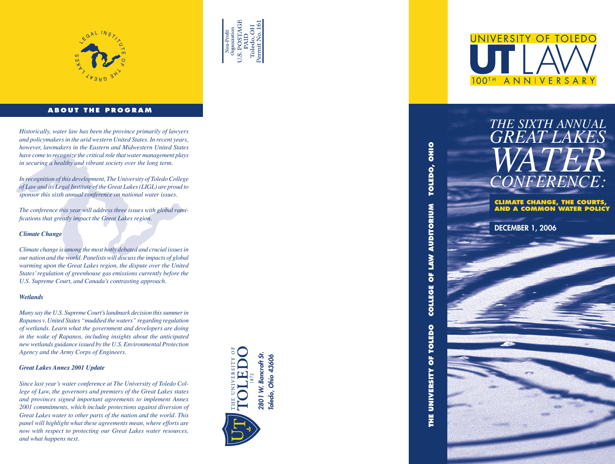



#### **ABOUT THE PROGRAM**

*Historically, water law has been the province primarily of lawyers and policymakers in the arid western United States. In recent years, however, lawmakers in the Eastern and Midwestern United States have come to recognize the critical role that water management plays in securing a healthy and vibrant society over the long term.*

*In recognition of this development, The University of Toledo College of Law and its Legal Institute of the Great Lakes (LIGL) are proud to sponsor this sixth annual conference on national water issues.* 

*The conference this year will address three issues with global ramifications that greatly impact the Great Lakes region.*

#### *Climate Change*

*Climate change is among the most hotly debated and crucial issues in our nation and the world. Panelists will discuss the impacts of global warming upon the Great Lakes region, the dispute over the United States' regulation of greenhouse gas emissions currently before the U.S. Supreme Court, and Canada's contrasting approach.* 

#### *Wetlands*

*Many say the U.S. Supreme Court's landmark decision this summer in Rapanos v. United States "muddied the waters" regarding regulation of wetlands. Learn what the government and developers are doing in the wake of Rapanos, including insights about the anticipated new wetlands guidance issued by the U.S. Environmental Protection Agency and the Army Corps of Engineers.*

#### *Great Lakes Annex 2001 Update*

*Since last year's water conference at The University of Toledo College of Law, the governors and premiers of the Great Lakes states and provinces signed important agreements to implement Annex 2001 commitments, which include protections against diversion of Great Lakes water to other parts of the nation and the world. This panel will highlight what these agreements mean, where efforts are now with respect to protecting our Great Lakes water resources, and what happens next.*





**THE UNIVERSITY OF TOLEDO COLLEGE OF LAW AUDITORIUM TOLEDO, OHIO** TOLEDO, OHIO **COLLEGE OF LAW AUDITORIUM** THE UNIVERSITY OF TOLEDO

## *GREAT LAKES* **WA** *CONFERENCE:* THE SIXTH ANNUAL<br>GREAT LAKES<br>WATERENCE:

*THE SIXTH ANNUAL*

**CLIMATE CHANGE, THE COURTS, AND A COMMON WATER POLICY**

DECEMBER 1, 2006